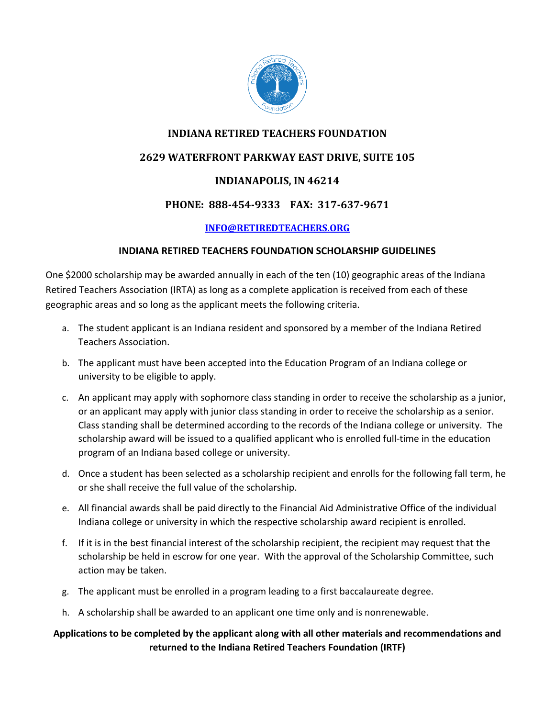

# **INDIANA RETIRED TEACHERS FOUNDATION**

# **2629 WATERFRONT PARKWAY EAST DRIVE, SUITE 105**

# **INDIANAPOLIS, IN 46214**

## PHONE: 888-454-9333 FAX: 317-637-9671

## **INFO@RETIREDTEACHERS.ORG**

## **INDIANA RETIRED TEACHERS FOUNDATION SCHOLARSHIP GUIDELINES**

One \$2000 scholarship may be awarded annually in each of the ten (10) geographic areas of the Indiana Retired Teachers Association (IRTA) as long as a complete application is received from each of these geographic areas and so long as the applicant meets the following criteria.

- a. The student applicant is an Indiana resident and sponsored by a member of the Indiana Retired Teachers Association.
- b. The applicant must have been accepted into the Education Program of an Indiana college or university to be eligible to apply.
- c. An applicant may apply with sophomore class standing in order to receive the scholarship as a junior, or an applicant may apply with junior class standing in order to receive the scholarship as a senior. Class standing shall be determined according to the records of the Indiana college or university. The scholarship award will be issued to a qualified applicant who is enrolled full-time in the education program of an Indiana based college or university.
- d. Once a student has been selected as a scholarship recipient and enrolls for the following fall term, he or she shall receive the full value of the scholarship.
- e. All financial awards shall be paid directly to the Financial Aid Administrative Office of the individual Indiana college or university in which the respective scholarship award recipient is enrolled.
- f. If it is in the best financial interest of the scholarship recipient, the recipient may request that the scholarship be held in escrow for one year. With the approval of the Scholarship Committee, such action may be taken.
- g. The applicant must be enrolled in a program leading to a first baccalaureate degree.
- h. A scholarship shall be awarded to an applicant one time only and is nonrenewable.

# **Applications to be completed by the applicant along with all other materials and recommendations and returned to the Indiana Retired Teachers Foundation (IRTF)**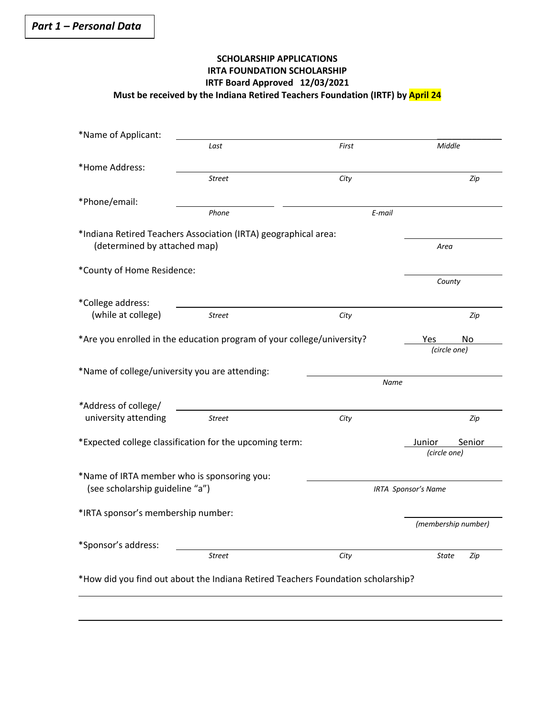## **SCHOLARSHIP APPLICATIONS IRTA FOUNDATION SCHOLARSHIP IRTF Board Approved 12/03/2021 Must be received by the Indiana Retired Teachers Foundation (IRTF) by April 24**

| *Name of Applicant:                            |                                                                                  |                            |                     |
|------------------------------------------------|----------------------------------------------------------------------------------|----------------------------|---------------------|
|                                                | Last                                                                             | First                      | Middle              |
| *Home Address:                                 |                                                                                  |                            |                     |
|                                                | <b>Street</b>                                                                    | City                       | Zip                 |
| *Phone/email:                                  |                                                                                  |                            |                     |
|                                                | Phone                                                                            | E-mail                     |                     |
| (determined by attached map)                   | *Indiana Retired Teachers Association (IRTA) geographical area:                  |                            | Area                |
| *County of Home Residence:                     |                                                                                  |                            |                     |
|                                                |                                                                                  |                            | County              |
| *College address:                              |                                                                                  |                            |                     |
| (while at college)                             | <b>Street</b>                                                                    | City                       | Zip                 |
|                                                | *Are you enrolled in the education program of your college/university?           |                            | No<br>Yes           |
|                                                |                                                                                  |                            | (circle one)        |
| *Name of college/university you are attending: |                                                                                  |                            |                     |
|                                                |                                                                                  | <b>Name</b>                |                     |
| *Address of college/                           |                                                                                  |                            |                     |
| university attending                           | <b>Street</b>                                                                    | City                       | Zip                 |
|                                                | *Expected college classification for the upcoming term:                          |                            | Junior<br>Senior    |
|                                                |                                                                                  |                            | (circle one)        |
| *Name of IRTA member who is sponsoring you:    |                                                                                  |                            |                     |
| (see scholarship guideline "a")                |                                                                                  | <b>IRTA Sponsor's Name</b> |                     |
| *IRTA sponsor's membership number:             |                                                                                  |                            |                     |
|                                                |                                                                                  |                            | (membership number) |
| *Sponsor's address:                            |                                                                                  |                            |                     |
|                                                | <b>Street</b>                                                                    | City                       | State<br>Zip        |
|                                                | *How did you find out about the Indiana Retired Teachers Foundation scholarship? |                            |                     |
|                                                |                                                                                  |                            |                     |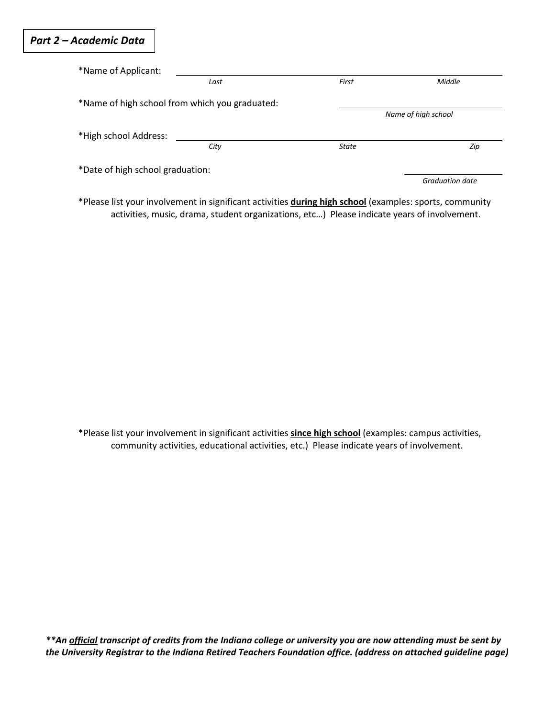# *Part 2 – Academic Data*

| *Name of Applicant:              |                                                |                     |                 |
|----------------------------------|------------------------------------------------|---------------------|-----------------|
|                                  | Last                                           | First               | <b>Middle</b>   |
|                                  | *Name of high school from which you graduated: |                     |                 |
|                                  |                                                | Name of high school |                 |
| *High school Address:            |                                                |                     |                 |
|                                  | City                                           | State               | Zip             |
| *Date of high school graduation: |                                                |                     |                 |
|                                  |                                                |                     | Graduation date |

\*Please list your involvement in significant activities **during high school** (examples: sports, community activities, music, drama, student organizations, etc…) Please indicate years of involvement.

\*Please list your involvement in significant activities **since high school** (examples: campus activities, community activities, educational activities, etc.) Please indicate years of involvement.

*\*\*An official transcript of credits from the Indiana college or university you are now attending must be sent by the University Registrar to the Indiana Retired Teachers Foundation office. (address on attached guideline page)*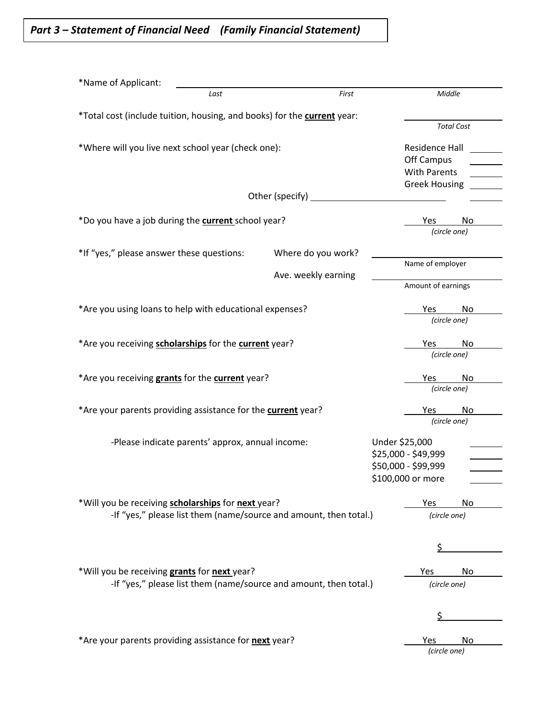*Part 3 – Statement of Financial Need (Family Financial Statement)*

| *Name of Applicant:                                                     |                     |                           |
|-------------------------------------------------------------------------|---------------------|---------------------------|
| Last                                                                    | First               | Middle                    |
| *Total cost (include tuition, housing, and books) for the current year: |                     |                           |
|                                                                         |                     | <b>Total Cost</b>         |
| *Where will you live next school year (check one):                      |                     | <b>Residence Hall</b>     |
|                                                                         |                     | Off Campus                |
|                                                                         |                     | <b>With Parents</b>       |
|                                                                         |                     | <b>Greek Housing</b>      |
|                                                                         | Other (specify)     |                           |
|                                                                         |                     |                           |
| *Do you have a job during the <b>current</b> school year?               |                     | Yes<br>No<br>(circle one) |
|                                                                         |                     |                           |
| *If "yes," please answer these questions:                               | Where do you work?  |                           |
|                                                                         |                     | Name of employer          |
|                                                                         | Ave. weekly earning | Amount of earnings        |
|                                                                         |                     |                           |
| *Are you using loans to help with educational expenses?                 |                     | No<br>Yes.                |
|                                                                         |                     | (circle one)              |
|                                                                         |                     |                           |
| *Are you receiving scholarships for the current year?                   |                     | No<br>Yes<br>(circle one) |
|                                                                         |                     |                           |
| *Are you receiving grants for the current year?                         |                     | Yes<br>No                 |
|                                                                         |                     | (circle one)              |
| *Are your parents providing assistance for the current year?            |                     | No<br>Yes                 |
|                                                                         |                     | (circle one)              |
| -Please indicate parents' approx, annual income:                        |                     | Under \$25,000            |
|                                                                         |                     | \$25,000 - \$49,999       |
|                                                                         |                     | \$50,000 - \$99,999       |
|                                                                         |                     | \$100,000 or more         |
|                                                                         |                     |                           |
| *Will you be receiving scholarships for next year?                      |                     | Yes<br>No                 |
| -If "yes," please list them (name/source and amount, then total.)       |                     | (circle one)              |
|                                                                         |                     |                           |
|                                                                         |                     | \$                        |
|                                                                         |                     |                           |
| *Will you be receiving grants for next year?                            |                     | Yes<br>No                 |
| -If "yes," please list them (name/source and amount, then total.)       |                     | (circle one)              |
|                                                                         |                     |                           |
|                                                                         |                     | \$                        |
|                                                                         |                     |                           |
| *Are your parents providing assistance for next year?                   |                     | No<br>Yes                 |
|                                                                         |                     | (circle one)              |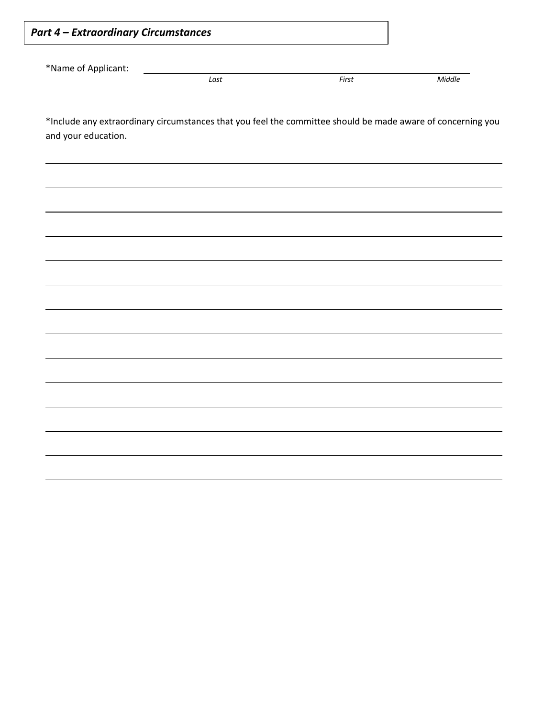| *Name of Applicant:                                                                                                                | Last | First | Middle |
|------------------------------------------------------------------------------------------------------------------------------------|------|-------|--------|
|                                                                                                                                    |      |       |        |
| *Include any extraordinary circumstances that you feel the committee should be made aware of concerning you<br>and your education. |      |       |        |
|                                                                                                                                    |      |       |        |
|                                                                                                                                    |      |       |        |
|                                                                                                                                    |      |       |        |
|                                                                                                                                    |      |       |        |
|                                                                                                                                    |      |       |        |
|                                                                                                                                    |      |       |        |
|                                                                                                                                    |      |       |        |
|                                                                                                                                    |      |       |        |
|                                                                                                                                    |      |       |        |
|                                                                                                                                    |      |       |        |
|                                                                                                                                    |      |       |        |
|                                                                                                                                    |      |       |        |
|                                                                                                                                    |      |       |        |
|                                                                                                                                    |      |       |        |
|                                                                                                                                    |      |       |        |
|                                                                                                                                    |      |       |        |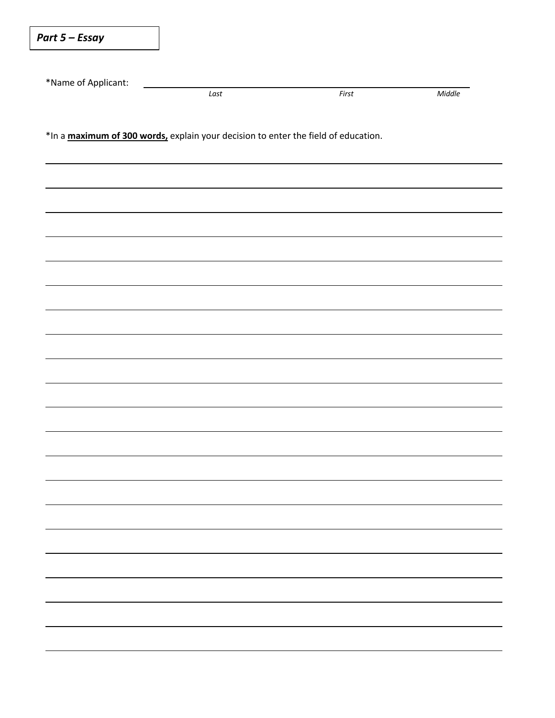| Part 5 – Essay      |                                                                                    |       |        |  |  |  |
|---------------------|------------------------------------------------------------------------------------|-------|--------|--|--|--|
|                     |                                                                                    |       |        |  |  |  |
| *Name of Applicant: | Last                                                                               | First | Middle |  |  |  |
|                     | *In a maximum of 300 words, explain your decision to enter the field of education. |       |        |  |  |  |
|                     |                                                                                    |       |        |  |  |  |
|                     |                                                                                    |       |        |  |  |  |
|                     |                                                                                    |       |        |  |  |  |
|                     |                                                                                    |       |        |  |  |  |
|                     |                                                                                    |       |        |  |  |  |
|                     |                                                                                    |       |        |  |  |  |
|                     |                                                                                    |       |        |  |  |  |
|                     |                                                                                    |       |        |  |  |  |
|                     |                                                                                    |       |        |  |  |  |
|                     |                                                                                    |       |        |  |  |  |
|                     |                                                                                    |       |        |  |  |  |
|                     |                                                                                    |       |        |  |  |  |
|                     |                                                                                    |       |        |  |  |  |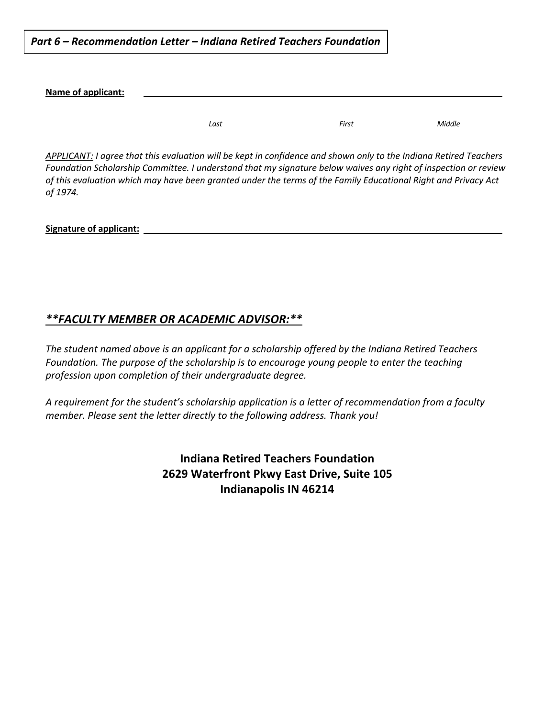*Part 6 – Recommendation Letter – Indiana Retired Teachers Foundation*

**Name of applicant:**

*Last First Middle*

*APPLICANT: I agree that this evaluation will be kept in confidence and shown only to the Indiana Retired Teachers Foundation Scholarship Committee. I understand that my signature below waives any right of inspection or review of this evaluation which may have been granted under the terms of the Family Educational Right and Privacy Act of 1974.*

**Signature of applicant:**

# *\*\*FACULTY MEMBER OR ACADEMIC ADVISOR:\*\**

*The student named above is an applicant for a scholarship offered by the Indiana Retired Teachers Foundation. The purpose of the scholarship is to encourage young people to enter the teaching profession upon completion of their undergraduate degree.*

*A requirement for the student's scholarship application is a letter of recommendation from a faculty member. Please sent the letter directly to the following address. Thank you!*

> **Indiana Retired Teachers Foundation 2629 Waterfront Pkwy East Drive, Suite 105 Indianapolis IN 46214**